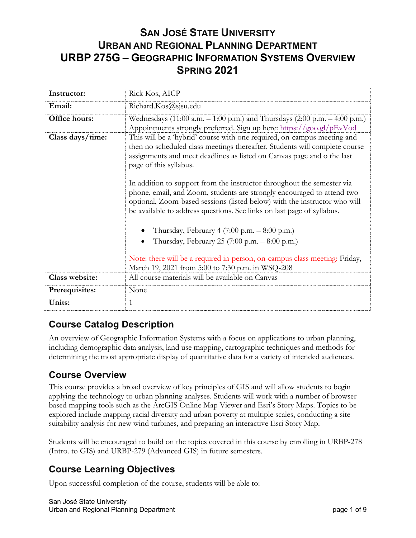# **SAN JOSÉ STATE UNIVERSITY URBAN AND REGIONAL PLANNING DEPARTMENT URBP 275G – GEOGRAPHIC INFORMATION SYSTEMS OVERVIEW SPRING 2021**

| Instructor:      | Rick Kos, AICP                                                                                                                                                                                                                                                                                          |
|------------------|---------------------------------------------------------------------------------------------------------------------------------------------------------------------------------------------------------------------------------------------------------------------------------------------------------|
| Email:           | Richard.Kos@sjsu.edu                                                                                                                                                                                                                                                                                    |
| Office hours:    | Wednesdays (11:00 a.m. $-$ 1:00 p.m.) and Thursdays (2:00 p.m. $-$ 4:00 p.m.)<br>Appointments strongly preferred. Sign up here: https://goo.gl/pEvVod                                                                                                                                                   |
| Class days/time: | This will be a 'hybrid' course with one required, on-campus meeting and<br>then no scheduled class meetings thereafter. Students will complete course<br>assignments and meet deadlines as listed on Canvas page and o the last<br>page of this syllabus.                                               |
|                  | In addition to support from the instructor throughout the semester via<br>phone, email, and Zoom, students are strongly encouraged to attend two<br>optional, Zoom-based sessions (listed below) with the instructor who will<br>be available to address questions. See links on last page of syllabus. |
|                  | Thursday, February 4 $(7:00 \text{ p.m.} - 8:00 \text{ p.m.})$                                                                                                                                                                                                                                          |
|                  | Thursday, February 25 (7:00 p.m. $-$ 8:00 p.m.)                                                                                                                                                                                                                                                         |
|                  | Note: there will be a required in-person, on-campus class meeting: Friday,<br>March 19, 2021 from 5:00 to 7:30 p.m. in WSQ-208                                                                                                                                                                          |
| Class website:   | All course materials will be available on Canvas                                                                                                                                                                                                                                                        |
| Prerequisites:   | None                                                                                                                                                                                                                                                                                                    |
| Units:           | 1                                                                                                                                                                                                                                                                                                       |

## **Course Catalog Description**

An overview of Geographic Information Systems with a focus on applications to urban planning, including demographic data analysis, land use mapping, cartographic techniques and methods for determining the most appropriate display of quantitative data for a variety of intended audiences.

## **Course Overview**

This course provides a broad overview of key principles of GIS and will allow students to begin applying the technology to urban planning analyses. Students will work with a number of browserbased mapping tools such as the ArcGIS Online Map Viewer and Esri's Story Maps. Topics to be explored include mapping racial diversity and urban poverty at multiple scales, conducting a site suitability analysis for new wind turbines, and preparing an interactive Esri Story Map.

Students will be encouraged to build on the topics covered in this course by enrolling in URBP-278 (Intro. to GIS) and URBP-279 (Advanced GIS) in future semesters.

#### **Course Learning Objectives**

Upon successful completion of the course, students will be able to: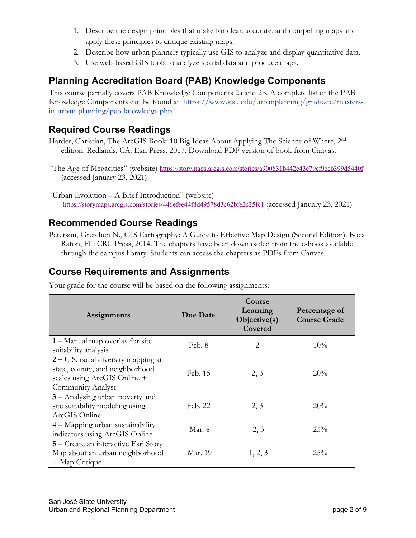- 1. Describe the design principles that make for clear, accurate, and compelling maps and apply these principles to critique existing maps.
- 2. Describe how urban planners typically use GIS to analyze and display quantitative data.
- 3. Use web-based GIS tools to analyze spatial data and produce maps.

## **Planning Accreditation Board (PAB) Knowledge Components**

This course partially covers PAB Knowledge Components 2a and 2b. A complete list of the PAB Knowledge Components can be found at https://www.sjsu.edu/urbanplanning/graduate/mastersin-urban-planning/pab-knowledge.php

## **Required Course Readings**

Harder, Christian, The ArcGIS Book: 10 Big Ideas About Applying The Science of Where, 2<sup>nd</sup> edition. Redlands, CA: Esri Press, 2017. Download PDF version of book from Canvas.

"The Age of Megacities" (website) https://storymaps.arcgis.com/stories/a900831b442e43c79cf9eeb399d5440f (accessed January 23, 2021)

#### **Recommended Course Readings**

Peterson, Gretchen N., GIS Cartography: A Guide to Effective Map Design (Second Edition). Boca Raton, FL: CRC Press, 2014. The chapters have been downloaded from the e-book available through the campus library. Students can access the chapters as PDFs from Canvas.

### **Course Requirements and Assignments**

| Assignments                                                                                                                  | Due Date | Course<br>Learning<br>Objective(s)<br>Covered | Percentage of<br><b>Course Grade</b> |
|------------------------------------------------------------------------------------------------------------------------------|----------|-----------------------------------------------|--------------------------------------|
| 1 – Manual map overlay for site<br>suitability analysis                                                                      | Feb. 8   | 2                                             | 10%                                  |
| 2 – U.S. racial diversity mapping at<br>state, county, and neighborhood<br>scales using ArcGIS Online +<br>Community Analyst | Feb. 15  | 2, 3                                          | 20%                                  |
| 3 - Analyzing urban poverty and<br>site suitability modeling using<br>ArcGIS Online                                          | Feb. 22  | 2, 3                                          | 20%                                  |
| 4 - Mapping urban sustainability<br>indicators using ArcGIS Online                                                           | Mar. 8   | 2, 3                                          | 25%                                  |
| 5 – Create an interactive Esri Story<br>Map about an urban neighborhood<br>+ Map Critique                                    | Mar. 19  | 1, 2, 3                                       | 25%                                  |

Your grade for the course will be based on the following assignments:

<sup>&</sup>quot;Urban Evolution – A Brief Introduction" (website) https://storymaps.arcgis.com/stories/446efee44f8d49578d3c62bfe2c25fc1 (accessed January 23, 2021)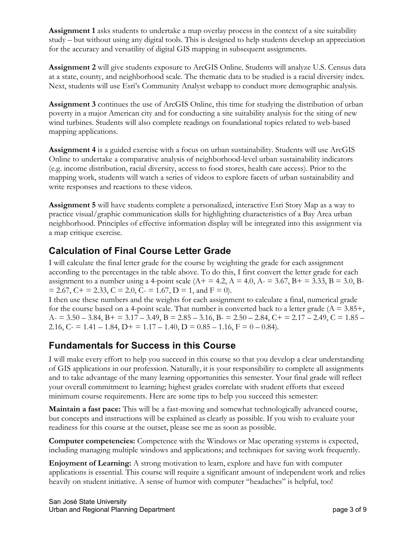**Assignment 1** asks students to undertake a map overlay process in the context of a site suitability study – but without using any digital tools. This is designed to help students develop an appreciation for the accuracy and versatility of digital GIS mapping in subsequent assignments.

**Assignment 2** will give students exposure to ArcGIS Online. Students will analyze U.S. Census data at a state, county, and neighborhood scale. The thematic data to be studied is a racial diversity index. Next, students will use Esri's Community Analyst webapp to conduct more demographic analysis.

**Assignment 3** continues the use of ArcGIS Online, this time for studying the distribution of urban poverty in a major American city and for conducting a site suitability analysis for the siting of new wind turbines. Students will also complete readings on foundational topics related to web-based mapping applications.

**Assignment 4** is a guided exercise with a focus on urban sustainability. Students will use ArcGIS Online to undertake a comparative analysis of neighborhood-level urban sustainability indicators (e.g. income distribution, racial diversity, access to food stores, health care access). Prior to the mapping work, students will watch a series of videos to explore facets of urban sustainability and write responses and reactions to these videos.

**Assignment 5** will have students complete a personalized, interactive Esri Story Map as a way to practice visual/graphic communication skills for highlighting characteristics of a Bay Area urban neighborhood. Principles of effective information display will be integrated into this assignment via a map critique exercise.

## **Calculation of Final Course Letter Grade**

I will calculate the final letter grade for the course by weighting the grade for each assignment according to the percentages in the table above. To do this, I first convert the letter grade for each assignment to a number using a 4-point scale  $(A + 4.2, A = 4.0, A = 3.67, B = 3.33, B = 3.0, B = 3.67, B = 3.33, B = 3.67, B = 3.33, B = 3.33, B = 3.33, B = 3.33, B = 3.33, B = 3.33, B = 3.33, B = 3.33, B = 3.33, B = 3.33, B = 3.33, B = 3.33, B = 3.33, B = 3.33, B =$  $= 2.67$ ,  $C + 2.33$ ,  $C = 2.0$ ,  $C = 1.67$ ,  $D = 1$ , and  $F = 0$ .

I then use these numbers and the weights for each assignment to calculate a final, numerical grade for the course based on a 4-point scale. That number is converted back to a letter grade ( $A = 3.85 +$ ,  $A = 3.50 - 3.84$ ,  $B = 3.17 - 3.49$ ,  $B = 2.85 - 3.16$ ,  $B = 2.50 - 2.84$ ,  $C = 2.17 - 2.49$ ,  $C = 1.85 - 2.17$ 2.16, C- = 1.41 – 1.84, D+ = 1.17 – 1.40, D =  $0.85 - 1.16$ , F =  $0 - 0.84$ ).

#### **Fundamentals for Success in this Course**

I will make every effort to help you succeed in this course so that you develop a clear understanding of GIS applications in our profession. Naturally, it is your responsibility to complete all assignments and to take advantage of the many learning opportunities this semester. Your final grade will reflect your overall commitment to learning; highest grades correlate with student efforts that exceed minimum course requirements. Here are some tips to help you succeed this semester:

**Maintain a fast pace:** This will be a fast-moving and somewhat technologically advanced course, but concepts and instructions will be explained as clearly as possible. If you wish to evaluate your readiness for this course at the outset, please see me as soon as possible.

**Computer competencies:** Competence with the Windows or Mac operating systems is expected, including managing multiple windows and applications; and techniques for saving work frequently.

**Enjoyment of Learning:** A strong motivation to learn, explore and have fun with computer applications is essential. This course will require a significant amount of independent work and relies heavily on student initiative. A sense of humor with computer "headaches" is helpful, too!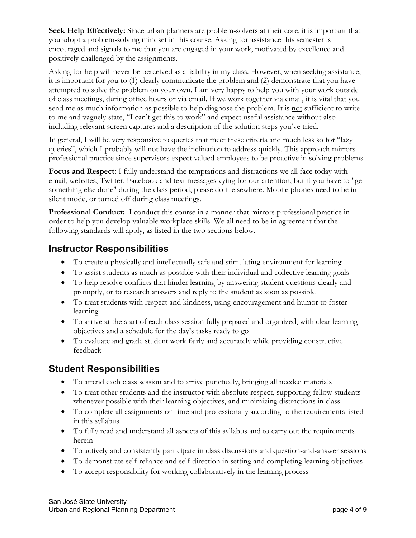**Seek Help Effectively:** Since urban planners are problem-solvers at their core, it is important that you adopt a problem-solving mindset in this course. Asking for assistance this semester is encouraged and signals to me that you are engaged in your work, motivated by excellence and positively challenged by the assignments.

Asking for help will never be perceived as a liability in my class. However, when seeking assistance, it is important for you to (1) clearly communicate the problem and (2) demonstrate that you have attempted to solve the problem on your own. I am very happy to help you with your work outside of class meetings, during office hours or via email. If we work together via email, it is vital that you send me as much information as possible to help diagnose the problem. It is not sufficient to write to me and vaguely state, "I can't get this to work" and expect useful assistance without also including relevant screen captures and a description of the solution steps you've tried.

In general, I will be very responsive to queries that meet these criteria and much less so for "lazy queries", which I probably will not have the inclination to address quickly. This approach mirrors professional practice since supervisors expect valued employees to be proactive in solving problems.

**Focus and Respect:** I fully understand the temptations and distractions we all face today with email, websites, Twitter, Facebook and text messages vying for our attention, but if you have to "get something else done" during the class period, please do it elsewhere. Mobile phones need to be in silent mode, or turned off during class meetings.

**Professional Conduct:** I conduct this course in a manner that mirrors professional practice in order to help you develop valuable workplace skills. We all need to be in agreement that the following standards will apply, as listed in the two sections below.

#### **Instructor Responsibilities**

- To create a physically and intellectually safe and stimulating environment for learning
- To assist students as much as possible with their individual and collective learning goals
- To help resolve conflicts that hinder learning by answering student questions clearly and promptly, or to research answers and reply to the student as soon as possible
- To treat students with respect and kindness, using encouragement and humor to foster learning
- To arrive at the start of each class session fully prepared and organized, with clear learning objectives and a schedule for the day's tasks ready to go
- To evaluate and grade student work fairly and accurately while providing constructive feedback

#### **Student Responsibilities**

- To attend each class session and to arrive punctually, bringing all needed materials
- To treat other students and the instructor with absolute respect, supporting fellow students whenever possible with their learning objectives, and minimizing distractions in class
- To complete all assignments on time and professionally according to the requirements listed in this syllabus
- To fully read and understand all aspects of this syllabus and to carry out the requirements herein
- To actively and consistently participate in class discussions and question-and-answer sessions
- To demonstrate self-reliance and self-direction in setting and completing learning objectives
- To accept responsibility for working collaboratively in the learning process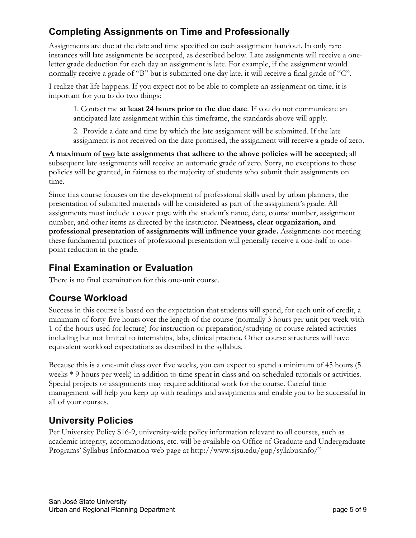## **Completing Assignments on Time and Professionally**

Assignments are due at the date and time specified on each assignment handout. In only rare instances will late assignments be accepted, as described below. Late assignments will receive a oneletter grade deduction for each day an assignment is late. For example, if the assignment would normally receive a grade of "B" but is submitted one day late, it will receive a final grade of "C".

I realize that life happens. If you expect not to be able to complete an assignment on time, it is important for you to do two things:

1. Contact me **at least 24 hours prior to the due date**. If you do not communicate an anticipated late assignment within this timeframe, the standards above will apply.

2. Provide a date and time by which the late assignment will be submitted. If the late assignment is not received on the date promised, the assignment will receive a grade of zero.

**A maximum of two late assignments that adhere to the above policies will be accepted**; all subsequent late assignments will receive an automatic grade of zero. Sorry, no exceptions to these policies will be granted, in fairness to the majority of students who submit their assignments on time.

Since this course focuses on the development of professional skills used by urban planners, the presentation of submitted materials will be considered as part of the assignment's grade. All assignments must include a cover page with the student's name, date, course number, assignment number, and other items as directed by the instructor. **Neatness, clear organization, and professional presentation of assignments will influence your grade.** Assignments not meeting these fundamental practices of professional presentation will generally receive a one-half to onepoint reduction in the grade.

## **Final Examination or Evaluation**

There is no final examination for this one-unit course.

## **Course Workload**

Success in this course is based on the expectation that students will spend, for each unit of credit, a minimum of forty-five hours over the length of the course (normally 3 hours per unit per week with 1 of the hours used for lecture) for instruction or preparation/studying or course related activities including but not limited to internships, labs, clinical practica. Other course structures will have equivalent workload expectations as described in the syllabus.

Because this is a one-unit class over five weeks, you can expect to spend a minimum of 45 hours (5 weeks \* 9 hours per week) in addition to time spent in class and on scheduled tutorials or activities. Special projects or assignments may require additional work for the course. Careful time management will help you keep up with readings and assignments and enable you to be successful in all of your courses.

## **University Policies**

Per University Policy S16-9, university-wide policy information relevant to all courses, such as academic integrity, accommodations, etc. will be available on Office of Graduate and Undergraduate Programs' Syllabus Information web page at http://www.sjsu.edu/gup/syllabusinfo/"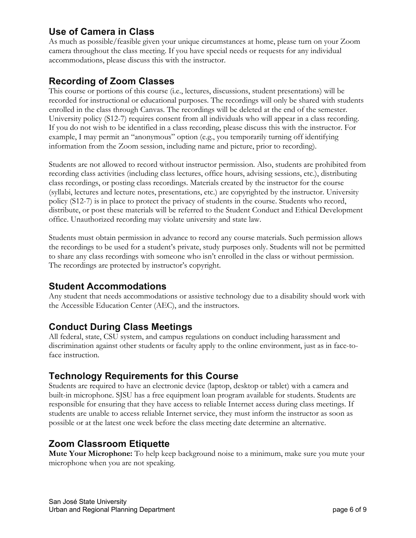## **Use of Camera in Class**

As much as possible/feasible given your unique circumstances at home, please turn on your Zoom camera throughout the class meeting. If you have special needs or requests for any individual accommodations, please discuss this with the instructor.

### **Recording of Zoom Classes**

This course or portions of this course (i.e., lectures, discussions, student presentations) will be recorded for instructional or educational purposes. The recordings will only be shared with students enrolled in the class through Canvas. The recordings will be deleted at the end of the semester. University policy (S12-7) requires consent from all individuals who will appear in a class recording. If you do not wish to be identified in a class recording, please discuss this with the instructor. For example, I may permit an "anonymous" option (e.g., you temporarily turning off identifying information from the Zoom session, including name and picture, prior to recording).

Students are not allowed to record without instructor permission. Also, students are prohibited from recording class activities (including class lectures, office hours, advising sessions, etc.), distributing class recordings, or posting class recordings. Materials created by the instructor for the course (syllabi, lectures and lecture notes, presentations, etc.) are copyrighted by the instructor. University policy (S12-7) is in place to protect the privacy of students in the course. Students who record, distribute, or post these materials will be referred to the Student Conduct and Ethical Development office. Unauthorized recording may violate university and state law.

Students must obtain permission in advance to record any course materials. Such permission allows the recordings to be used for a student's private, study purposes only. Students will not be permitted to share any class recordings with someone who isn't enrolled in the class or without permission. The recordings are protected by instructor's copyright.

#### **Student Accommodations**

Any student that needs accommodations or assistive technology due to a disability should work with the Accessible Education Center (AEC), and the instructors.

#### **Conduct During Class Meetings**

All federal, state, CSU system, and campus regulations on conduct including harassment and discrimination against other students or faculty apply to the online environment, just as in face-toface instruction.

#### **Technology Requirements for this Course**

Students are required to have an electronic device (laptop, desktop or tablet) with a camera and built-in microphone. SJSU has a free equipment loan program available for students. Students are responsible for ensuring that they have access to reliable Internet access during class meetings. If students are unable to access reliable Internet service, they must inform the instructor as soon as possible or at the latest one week before the class meeting date determine an alternative.

#### **Zoom Classroom Etiquette**

**Mute Your Microphone:** To help keep background noise to a minimum, make sure you mute your microphone when you are not speaking.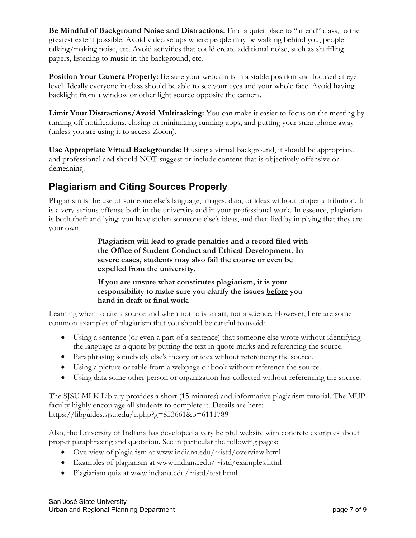**Be Mindful of Background Noise and Distractions:** Find a quiet place to "attend" class, to the greatest extent possible. Avoid video setups where people may be walking behind you, people talking/making noise, etc. Avoid activities that could create additional noise, such as shuffling papers, listening to music in the background, etc.

**Position Your Camera Properly:** Be sure your webcam is in a stable position and focused at eye level. Ideally everyone in class should be able to see your eyes and your whole face. Avoid having backlight from a window or other light source opposite the camera.

**Limit Your Distractions/Avoid Multitasking:** You can make it easier to focus on the meeting by turning off notifications, closing or minimizing running apps, and putting your smartphone away (unless you are using it to access Zoom).

**Use Appropriate Virtual Backgrounds:** If using a virtual background, it should be appropriate and professional and should NOT suggest or include content that is objectively offensive or demeaning.

## **Plagiarism and Citing Sources Properly**

Plagiarism is the use of someone else's language, images, data, or ideas without proper attribution. It is a very serious offense both in the university and in your professional work. In essence, plagiarism is both theft and lying: you have stolen someone else's ideas, and then lied by implying that they are your own.

> **Plagiarism will lead to grade penalties and a record filed with the Office of Student Conduct and Ethical Development. In severe cases, students may also fail the course or even be expelled from the university.**

**If you are unsure what constitutes plagiarism, it is your responsibility to make sure you clarify the issues before you hand in draft or final work.**

Learning when to cite a source and when not to is an art, not a science. However, here are some common examples of plagiarism that you should be careful to avoid:

- Using a sentence (or even a part of a sentence) that someone else wrote without identifying the language as a quote by putting the text in quote marks and referencing the source.
- Paraphrasing somebody else's theory or idea without referencing the source.
- Using a picture or table from a webpage or book without reference the source.
- Using data some other person or organization has collected without referencing the source.

The SJSU MLK Library provides a short (15 minutes) and informative plagiarism tutorial. The MUP faculty highly encourage all students to complete it. Details are here: https://libguides.sjsu.edu/c.php?g=853661&p=6111789

Also, the University of Indiana has developed a very helpful website with concrete examples about proper paraphrasing and quotation. See in particular the following pages:

- Overview of plagiarism at www.indiana.edu/~istd/overview.html
- Examples of plagiarism at www.indiana.edu/~istd/examples.html
- Plagiarism quiz at www.indiana.edu/~istd/test.html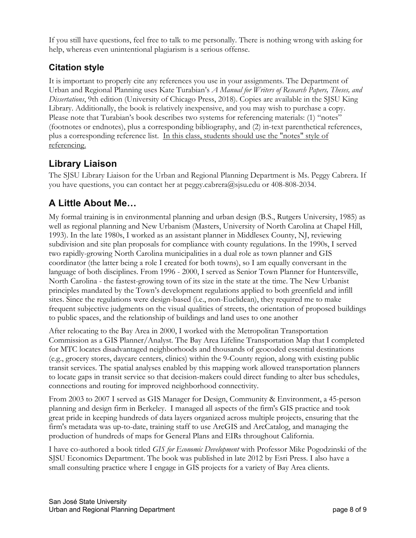If you still have questions, feel free to talk to me personally. There is nothing wrong with asking for help, whereas even unintentional plagiarism is a serious offense.

## **Citation style**

It is important to properly cite any references you use in your assignments. The Department of Urban and Regional Planning uses Kate Turabian's *A Manual for Writers of Research Papers, Theses, and Dissertations*, 9th edition (University of Chicago Press, 2018). Copies are available in the SJSU King Library. Additionally, the book is relatively inexpensive, and you may wish to purchase a copy. Please note that Turabian's book describes two systems for referencing materials: (1) "notes" (footnotes or endnotes), plus a corresponding bibliography, and (2) in-text parenthetical references, plus a corresponding reference list. In this class, students should use the "notes" style of referencing.

## **Library Liaison**

The SJSU Library Liaison for the Urban and Regional Planning Department is Ms. Peggy Cabrera. If you have questions, you can contact her at peggy.cabrera@sjsu.edu or 408-808-2034.

## **A Little About Me…**

My formal training is in environmental planning and urban design (B.S., Rutgers University, 1985) as well as regional planning and New Urbanism (Masters, University of North Carolina at Chapel Hill, 1993). In the late 1980s, I worked as an assistant planner in Middlesex County, NJ, reviewing subdivision and site plan proposals for compliance with county regulations. In the 1990s, I served two rapidly-growing North Carolina municipalities in a dual role as town planner and GIS coordinator (the latter being a role I created for both towns), so I am equally conversant in the language of both disciplines. From 1996 - 2000, I served as Senior Town Planner for Huntersville, North Carolina - the fastest-growing town of its size in the state at the time. The New Urbanist principles mandated by the Town's development regulations applied to both greenfield and infill sites. Since the regulations were design-based (i.e., non-Euclidean), they required me to make frequent subjective judgments on the visual qualities of streets, the orientation of proposed buildings to public spaces, and the relationship of buildings and land uses to one another

After relocating to the Bay Area in 2000, I worked with the Metropolitan Transportation Commission as a GIS Planner/Analyst. The Bay Area Lifeline Transportation Map that I completed for MTC locates disadvantaged neighborhoods and thousands of geocoded essential destinations (e.g., grocery stores, daycare centers, clinics) within the 9-County region, along with existing public transit services. The spatial analyses enabled by this mapping work allowed transportation planners to locate gaps in transit service so that decision-makers could direct funding to alter bus schedules, connections and routing for improved neighborhood connectivity.

From 2003 to 2007 I served as GIS Manager for Design, Community & Environment, a 45-person planning and design firm in Berkeley. I managed all aspects of the firm's GIS practice and took great pride in keeping hundreds of data layers organized across multiple projects, ensuring that the firm's metadata was up-to-date, training staff to use ArcGIS and ArcCatalog, and managing the production of hundreds of maps for General Plans and EIRs throughout California.

I have co-authored a book titled *GIS for Economic Development* with Professor Mike Pogodzinski of the SJSU Economics Department. The book was published in late 2012 by Esri Press. I also have a small consulting practice where I engage in GIS projects for a variety of Bay Area clients.